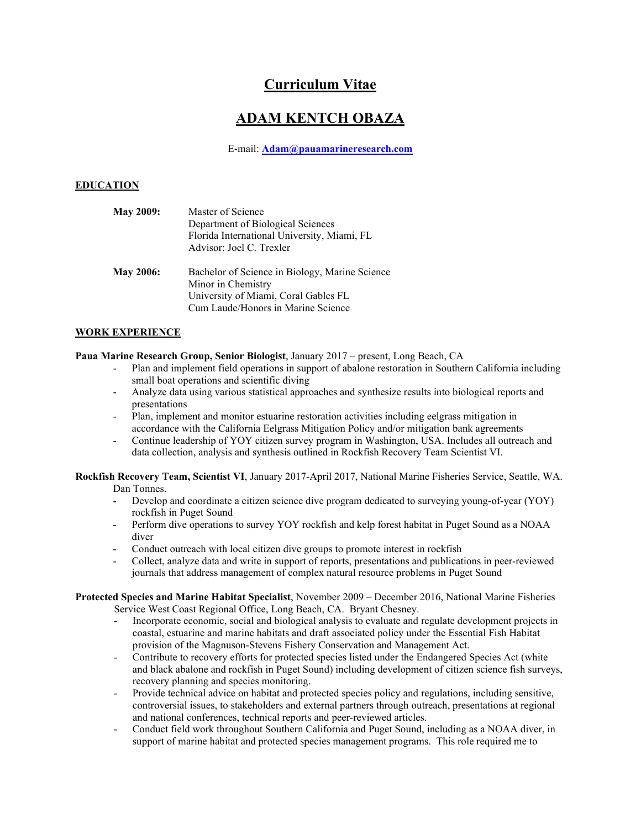# **Curriculum Vitae**

# **ADAM KENTCH OBAZA**

E-mail: **[Adam@pauamarineresearch.com](mailto:Adam@pauamarineresearch.com)**

# **EDUCATION**

| <b>May 2009:</b> | Master of Science                              |
|------------------|------------------------------------------------|
|                  | Department of Biological Sciences              |
|                  | Florida International University, Miami, FL    |
|                  | Advisor: Joel C. Trexler                       |
| <b>May 2006:</b> | Bachelor of Science in Biology, Marine Science |
|                  | Minor in Chemistry                             |
|                  | University of Miami, Coral Gables FL           |
|                  | Cum Laude/Honors in Marine Science             |

# **WORK EXPERIENCE**

# **Paua Marine Research Group, Senior Biologist**, January 2017 – present, Long Beach, CA

- Plan and implement field operations in support of abalone restoration in Southern California including small boat operations and scientific diving
- Analyze data using various statistical approaches and synthesize results into biological reports and presentations
- Plan, implement and monitor estuarine restoration activities including eelgrass mitigation in accordance with the California Eelgrass Mitigation Policy and/or mitigation bank agreements
- Continue leadership of YOY citizen survey program in Washington, USA. Includes all outreach and data collection, analysis and synthesis outlined in Rockfish Recovery Team Scientist VI.

**Rockfish Recovery Team, Scientist VI**, January 2017-April 2017, National Marine Fisheries Service, Seattle, WA. Dan Tonnes.

- Develop and coordinate a citizen science dive program dedicated to surveying young-of-year (YOY) rockfish in Puget Sound
- Perform dive operations to survey YOY rockfish and kelp forest habitat in Puget Sound as a NOAA diver
- Conduct outreach with local citizen dive groups to promote interest in rockfish
- Collect, analyze data and write in support of reports, presentations and publications in peer-reviewed journals that address management of complex natural resource problems in Puget Sound

**Protected Species and Marine Habitat Specialist**, November 2009 – December 2016, National Marine Fisheries Service West Coast Regional Office, Long Beach, CA. Bryant Chesney.

- Incorporate economic, social and biological analysis to evaluate and regulate development projects in coastal, estuarine and marine habitats and draft associated policy under the Essential Fish Habitat provision of the Magnuson-Stevens Fishery Conservation and Management Act.
- Contribute to recovery efforts for protected species listed under the Endangered Species Act (white and black abalone and rockfish in Puget Sound) including development of citizen science fish surveys, recovery planning and species monitoring.
- Provide technical advice on habitat and protected species policy and regulations, including sensitive, controversial issues, to stakeholders and external partners through outreach, presentations at regional and national conferences, technical reports and peer-reviewed articles.
- Conduct field work throughout Southern California and Puget Sound, including as a NOAA diver, in support of marine habitat and protected species management programs. This role required me to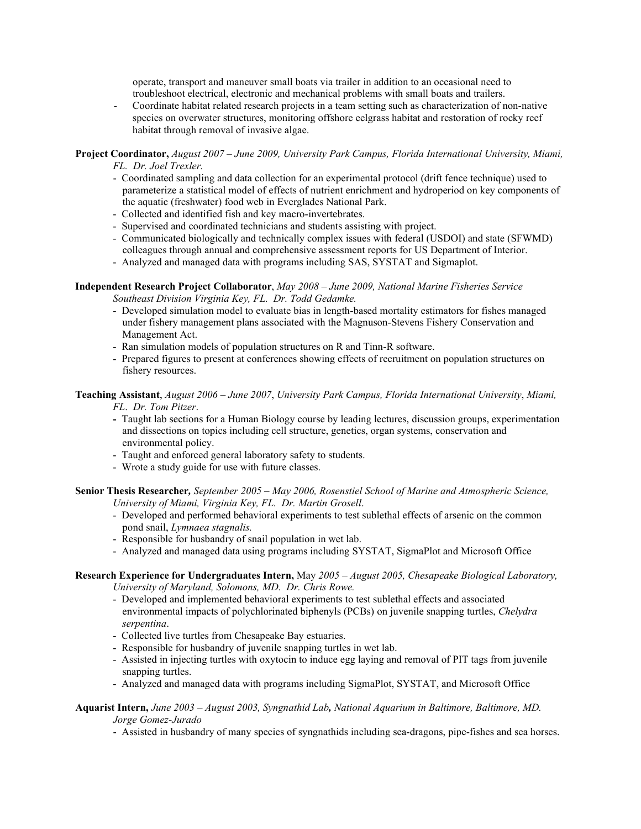operate, transport and maneuver small boats via trailer in addition to an occasional need to troubleshoot electrical, electronic and mechanical problems with small boats and trailers.

- Coordinate habitat related research projects in a team setting such as characterization of non-native species on overwater structures, monitoring offshore eelgrass habitat and restoration of rocky reef habitat through removal of invasive algae.

#### **Project Coordinator,** *August 2007 – June 2009, University Park Campus, Florida International University, Miami, FL. Dr. Joel Trexler.*

- Coordinated sampling and data collection for an experimental protocol (drift fence technique) used to parameterize a statistical model of effects of nutrient enrichment and hydroperiod on key components of the aquatic (freshwater) food web in Everglades National Park.
- Collected and identified fish and key macro-invertebrates.
- Supervised and coordinated technicians and students assisting with project.
- Communicated biologically and technically complex issues with federal (USDOI) and state (SFWMD) colleagues through annual and comprehensive assessment reports for US Department of Interior.
- Analyzed and managed data with programs including SAS, SYSTAT and Sigmaplot.

## **Independent Research Project Collaborator**, *May 2008 – June 2009, National Marine Fisheries Service Southeast Division Virginia Key, FL. Dr. Todd Gedamke.*

- Developed simulation model to evaluate bias in length-based mortality estimators for fishes managed under fishery management plans associated with the Magnuson-Stevens Fishery Conservation and Management Act.
- Ran simulation models of population structures on R and Tinn-R software.
- Prepared figures to present at conferences showing effects of recruitment on population structures on fishery resources.

### **Teaching Assistant**, *August 2006* – *June 2007*, *University Park Campus, Florida International University*, *Miami, FL*. *Dr. Tom Pitzer*.

- Taught lab sections for a Human Biology course by leading lectures, discussion groups, experimentation and dissections on topics including cell structure, genetics, organ systems, conservation and environmental policy.
- Taught and enforced general laboratory safety to students.
- Wrote a study guide for use with future classes.

**Senior Thesis Researcher***, September 2005 – May 2006, Rosenstiel School of Marine and Atmospheric Science, University of Miami, Virginia Key, FL. Dr. Martin Grosell*.

- Developed and performed behavioral experiments to test sublethal effects of arsenic on the common pond snail, *Lymnaea stagnalis.*
- Responsible for husbandry of snail population in wet lab.
- Analyzed and managed data using programs including SYSTAT, SigmaPlot and Microsoft Office

# **Research Experience for Undergraduates Intern,** May *2005 – August 2005, Chesapeake Biological Laboratory, University of Maryland, Solomons, MD. Dr. Chris Rowe.*

- Developed and implemented behavioral experiments to test sublethal effects and associated environmental impacts of polychlorinated biphenyls (PCBs) on juvenile snapping turtles, *Chelydra serpentina*.
- Collected live turtles from Chesapeake Bay estuaries.
- Responsible for husbandry of juvenile snapping turtles in wet lab.
- Assisted in injecting turtles with oxytocin to induce egg laying and removal of PIT tags from juvenile snapping turtles.
- Analyzed and managed data with programs including SigmaPlot, SYSTAT, and Microsoft Office

# **Aquarist Intern,** *June 2003 – August 2003, Syngnathid Lab, National Aquarium in Baltimore, Baltimore, MD.*

*Jorge Gomez-Jurado*

- Assisted in husbandry of many species of syngnathids including sea-dragons, pipe-fishes and sea horses.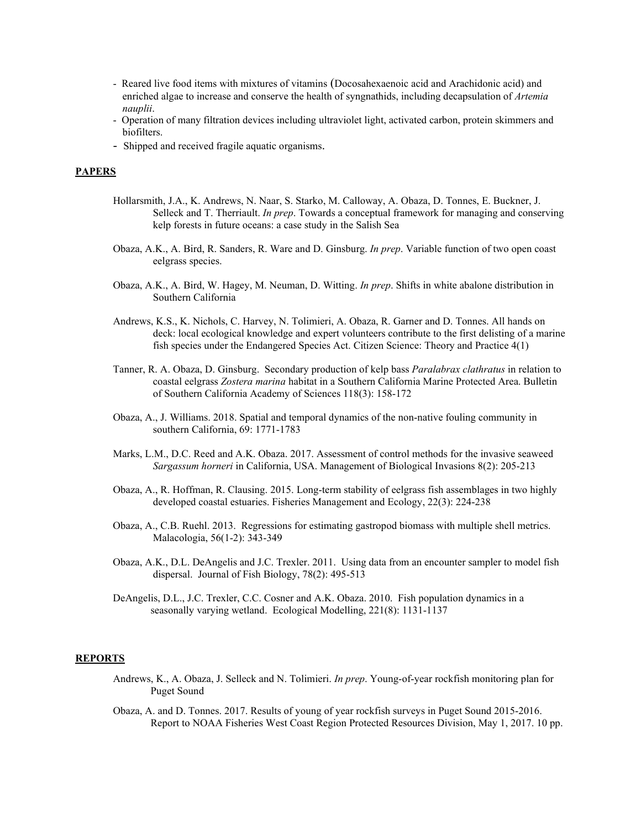- Reared live food items with mixtures of vitamins (Docosahexaenoic acid and Arachidonic acid) and enriched algae to increase and conserve the health of syngnathids, including decapsulation of *Artemia nauplii*.
- Operation of many filtration devices including ultraviolet light, activated carbon, protein skimmers and biofilters.
- Shipped and received fragile aquatic organisms.

# **PAPERS**

- Hollarsmith, J.A., K. Andrews, N. Naar, S. Starko, M. Calloway, A. Obaza, D. Tonnes, E. Buckner, J. Selleck and T. Therriault. *In prep*. Towards a conceptual framework for managing and conserving kelp forests in future oceans: a case study in the Salish Sea
- Obaza, A.K., A. Bird, R. Sanders, R. Ware and D. Ginsburg. *In prep*. Variable function of two open coast eelgrass species.
- Obaza, A.K., A. Bird, W. Hagey, M. Neuman, D. Witting. *In prep*. Shifts in white abalone distribution in Southern California
- Andrews, K.S., K. Nichols, C. Harvey, N. Tolimieri, A. Obaza, R. Garner and D. Tonnes. All hands on deck: local ecological knowledge and expert volunteers contribute to the first delisting of a marine fish species under the Endangered Species Act. Citizen Science: Theory and Practice 4(1)
- Tanner, R. A. Obaza, D. Ginsburg. Secondary production of kelp bass *Paralabrax clathratus* in relation to coastal eelgrass *Zostera marina* habitat in a Southern California Marine Protected Area. Bulletin of Southern California Academy of Sciences 118(3): 158-172
- Obaza, A., J. Williams. 2018. Spatial and temporal dynamics of the non-native fouling community in southern California, 69: 1771-1783
- Marks, L.M., D.C. Reed and A.K. Obaza. 2017. Assessment of control methods for the invasive seaweed *Sargassum horneri* in California, USA. Management of Biological Invasions 8(2): 205-213
- Obaza, A., R. Hoffman, R. Clausing. 2015. Long-term stability of eelgrass fish assemblages in two highly developed coastal estuaries. Fisheries Management and Ecology, 22(3): 224-238
- Obaza, A., C.B. Ruehl. 2013. Regressions for estimating gastropod biomass with multiple shell metrics. Malacologia, 56(1-2): 343-349
- Obaza, A.K., D.L. DeAngelis and J.C. Trexler. 2011. Using data from an encounter sampler to model fish dispersal. Journal of Fish Biology, 78(2): 495-513
- DeAngelis, D.L., J.C. Trexler, C.C. Cosner and A.K. Obaza. 2010. Fish population dynamics in a seasonally varying wetland. Ecological Modelling, 221(8): 1131-1137

#### **REPORTS**

- Andrews, K., A. Obaza, J. Selleck and N. Tolimieri. *In prep*. Young-of-year rockfish monitoring plan for Puget Sound
- Obaza, A. and D. Tonnes. 2017. Results of young of year rockfish surveys in Puget Sound 2015-2016. Report to NOAA Fisheries West Coast Region Protected Resources Division, May 1, 2017. 10 pp.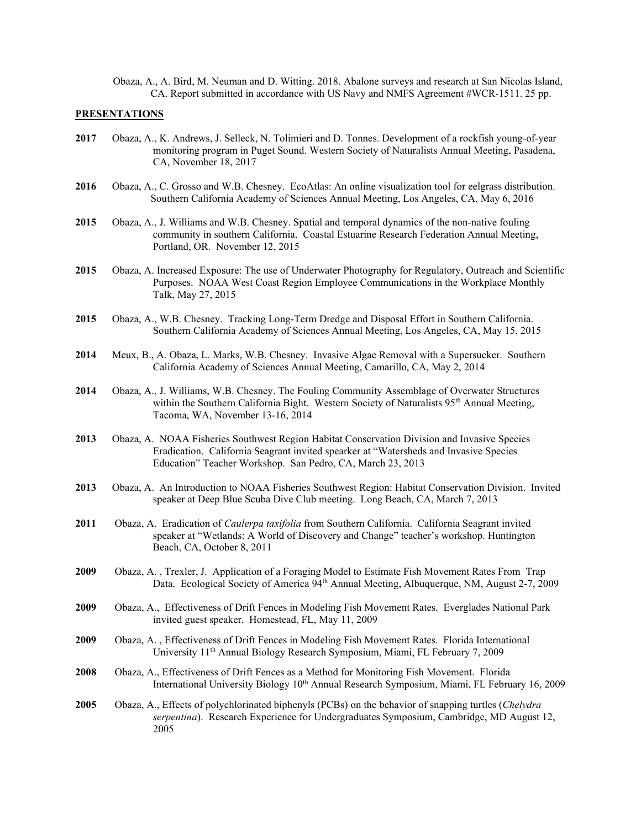Obaza, A., A. Bird, M. Neuman and D. Witting. 2018. Abalone surveys and research at San Nicolas Island, CA. Report submitted in accordance with US Navy and NMFS Agreement #WCR-1511. 25 pp.

## **PRESENTATIONS**

- **2017** Obaza, A., K. Andrews, J. Selleck, N. Tolimieri and D. Tonnes. Development of a rockfish young-of-year monitoring program in Puget Sound. Western Society of Naturalists Annual Meeting, Pasadena, CA, November 18, 2017
- **2016** Obaza, A., C. Grosso and W.B. Chesney. EcoAtlas: An online visualization tool for eelgrass distribution. Southern California Academy of Sciences Annual Meeting, Los Angeles, CA, May 6, 2016
- **2015** Obaza, A., J. Williams and W.B. Chesney. Spatial and temporal dynamics of the non-native fouling community in southern California. Coastal Estuarine Research Federation Annual Meeting, Portland, OR. November 12, 2015
- **2015** Obaza, A. Increased Exposure: The use of Underwater Photography for Regulatory, Outreach and Scientific Purposes. NOAA West Coast Region Employee Communications in the Workplace Monthly Talk, May 27, 2015
- **2015** Obaza, A., W.B. Chesney. Tracking Long-Term Dredge and Disposal Effort in Southern California. Southern California Academy of Sciences Annual Meeting, Los Angeles, CA, May 15, 2015
- **2014** Meux, B., A. Obaza, L. Marks, W.B. Chesney. Invasive Algae Removal with a Supersucker. Southern California Academy of Sciences Annual Meeting, Camarillo, CA, May 2, 2014
- **2014** Obaza, A., J. Williams, W.B. Chesney. The Fouling Community Assemblage of Overwater Structures within the Southern California Bight. Western Society of Naturalists 95<sup>th</sup> Annual Meeting, Tacoma, WA, November 13-16, 2014
- **2013** Obaza, A. NOAA Fisheries Southwest Region Habitat Conservation Division and Invasive Species Eradication. California Seagrant invited spearker at "Watersheds and Invasive Species Education" Teacher Workshop. San Pedro, CA, March 23, 2013
- **2013** Obaza, A. An Introduction to NOAA Fisheries Southwest Region: Habitat Conservation Division. Invited speaker at Deep Blue Scuba Dive Club meeting. Long Beach, CA, March 7, 2013
- **2011** Obaza, A. Eradication of *Caulerpa taxifolia* from Southern California. California Seagrant invited speaker at "Wetlands: A World of Discovery and Change" teacher's workshop. Huntington Beach, CA, October 8, 2011
- **2009** Obaza, A. , Trexler, J. Application of a Foraging Model to Estimate Fish Movement Rates From Trap Data. Ecological Society of America 94<sup>th</sup> Annual Meeting, Albuquerque, NM, August 2-7, 2009
- **2009** Obaza, A., Effectiveness of Drift Fences in Modeling Fish Movement Rates. Everglades National Park invited guest speaker. Homestead, FL, May 11, 2009
- **2009** Obaza, A. , Effectiveness of Drift Fences in Modeling Fish Movement Rates. Florida International University 11th Annual Biology Research Symposium, Miami, FL February 7, 2009
- **2008** Obaza, A., Effectiveness of Drift Fences as a Method for Monitoring Fish Movement. Florida International University Biology 10<sup>th</sup> Annual Research Symposium, Miami, FL February 16, 2009
- **2005** Obaza, A., Effects of polychlorinated biphenyls (PCBs) on the behavior of snapping turtles (*Chelydra serpentina*). Research Experience for Undergraduates Symposium, Cambridge, MD August 12, 2005